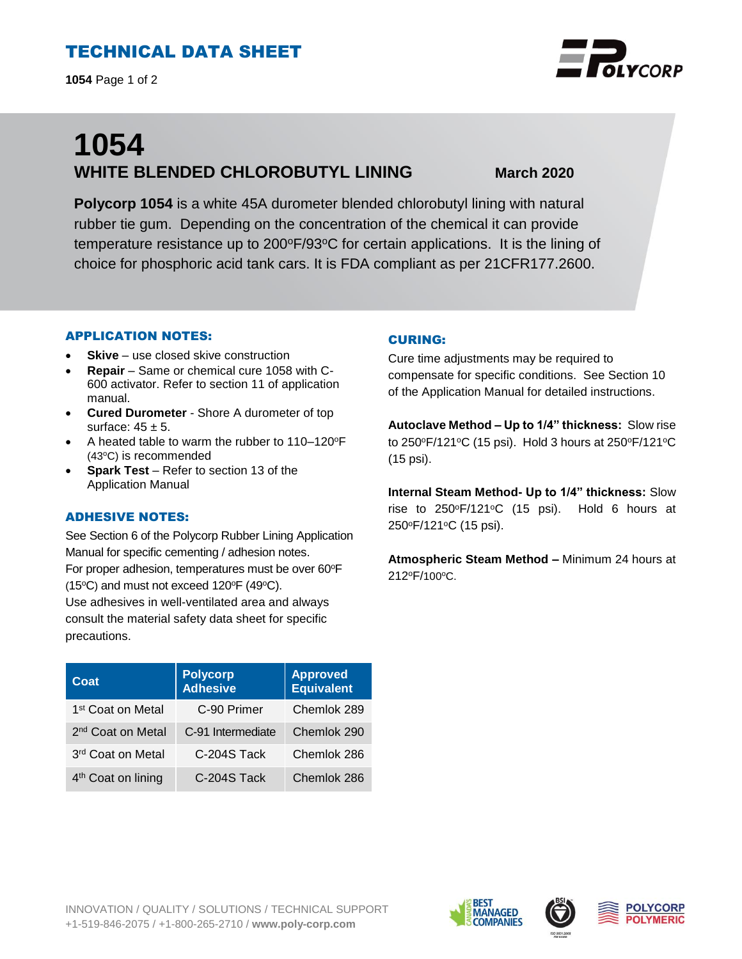# TECHNICAL DATA SHEET

**1054** Page 1 of 2



# **1054 WHITE BLENDED CHLOROBUTYL LINING March 2020**

**Polycorp 1054** is a white 45A durometer blended chlorobutyl lining with natural rubber tie gum. Depending on the concentration of the chemical it can provide temperature resistance up to  $200^{\circ}F/93^{\circ}C$  for certain applications. It is the lining of choice for phosphoric acid tank cars. It is FDA compliant as per 21CFR177.2600.

## APPLICATION NOTES:

- **Skive** use closed skive construction
- **Repair**  Same or chemical cure 1058 with C-600 activator. Refer to section 11 of application manual.
- **Cured Durometer**  Shore A durometer of top surface:  $45 \pm 5$ .
- A heated table to warm the rubber to 110–120°F (43°C) is recommended
- **Spark Test** Refer to section 13 of the Application Manual

# ADHESIVE NOTES:

See Section 6 of the Polycorp Rubber Lining Application Manual for specific cementing / adhesion notes. For proper adhesion, temperatures must be over 60°F (15 $\textdegree$ C) and must not exceed 120 $\textdegree$ F (49 $\textdegree$ C).

Use adhesives in well-ventilated area and always consult the material safety data sheet for specific precautions.

| Coat                           | <b>Polycorp</b><br><b>Adhesive</b> | <b>Approved</b><br><b>Equivalent</b> |
|--------------------------------|------------------------------------|--------------------------------------|
| 1 <sup>st</sup> Coat on Metal  | C-90 Primer                        | Chemlok 289                          |
| 2 <sup>nd</sup> Coat on Metal  | C-91 Intermediate                  | Chemlok 290                          |
| 3 <sup>rd</sup> Coat on Metal  | C-204S Tack                        | Chemlok 286                          |
| 4 <sup>th</sup> Coat on lining | C-204S Tack                        | Chemlok 286                          |

# CURING:

Cure time adjustments may be required to compensate for specific conditions. See Section 10 of the Application Manual for detailed instructions.

**Autoclave Method – Up to 1/4" thickness:** Slow rise to 250°F/121°C (15 psi). Hold 3 hours at 250°F/121°C (15 psi).

**Internal Steam Method- Up to 1/4" thickness:** Slow rise to  $250^{\circ}F/121^{\circ}C$  (15 psi). Hold 6 hours at 250<sup>o</sup>F/121<sup>o</sup>C (15 psi).

**Atmospheric Steam Method –** Minimum 24 hours at 212<sup>o</sup>F/100<sup>o</sup>C.